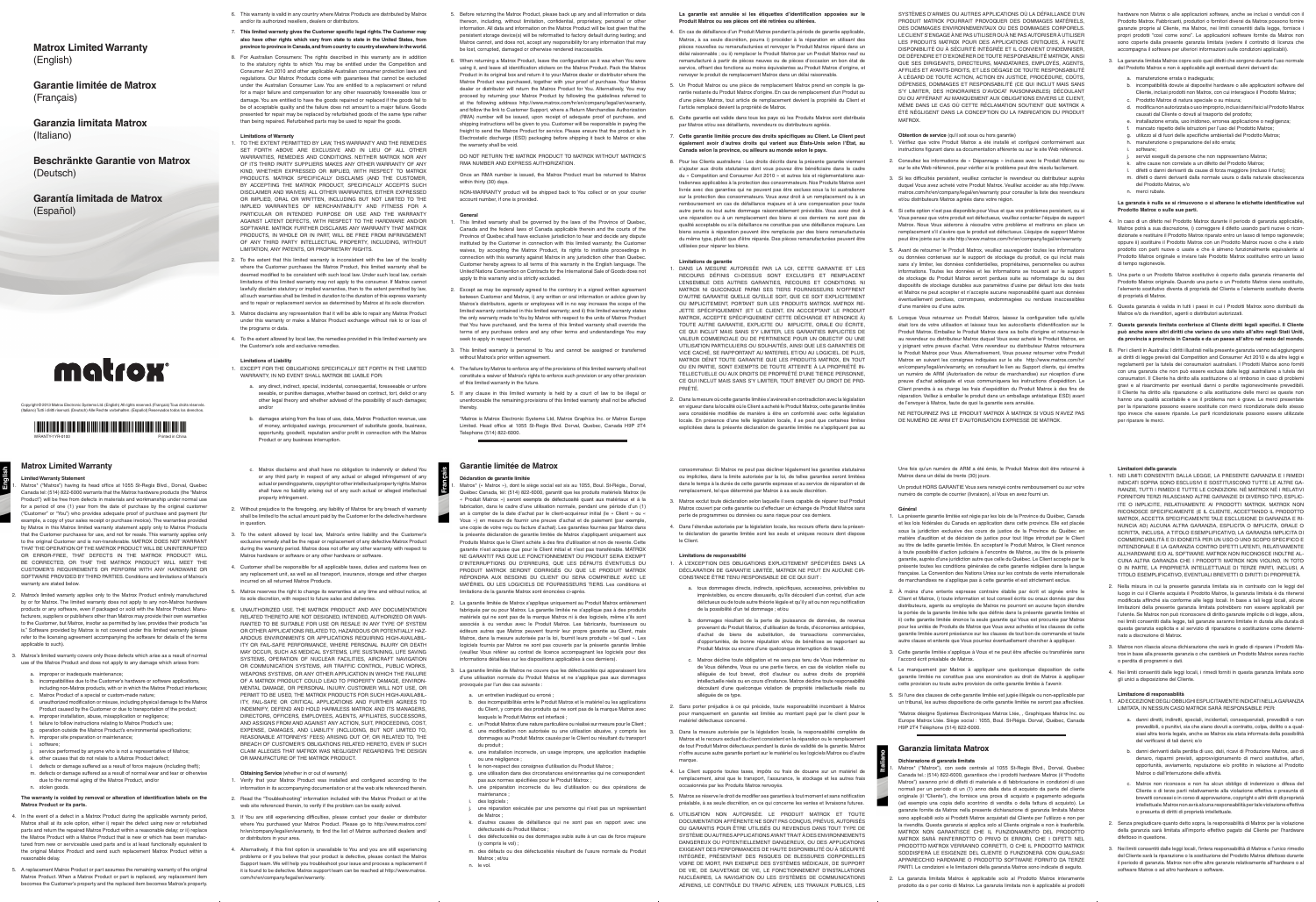# **Matrox Limited Warranty**

**Limited Warranty Statement** 

Matrox\* ("Matrox") having its head office at 1055 St-Regis Blvd., Dorval, Quebec Canada tel: (514) 822-6000 warrants that the Matrox hardware products (the "Matrox Product") will be free from defects in materials and workmanship under normal use for a period of one (1) year from the date of purchase by the original customer ("Customer" or "You") who provides adequate proof of purchase and payment (for example, a copy of your sales receipt or purchase invoice). The warranties provided by Matrox in this Matrox limited warranty statement apply only to Matrox Products that the Customer purchases for use, and not for resale. This warranty applies only to the original Customer and is non-transferable. MATROX DOES NOT WARRANT THAT THE OPERATION OF THE MATROX PRODUCT WILL BE UNINTERRUPTED OR ERROR-FREE, THAT DEFECTS IN THE MATROX PRODUCT WILL BE CORRECTED, OR THAT THE MATROX PRODUCT WILL MEET THE CUSTOMER'S REQUIREMENTS OR PERFORM WITH ANY HARDWARE OR SOFTWARE PROVIDED BY THIRD PARTIES. Conditions and limitations of Matrox's warranty are stated below.

- 2. Matrox's limited warranty applies only to the Matrox Product entirely manufactured by or for Matrox. The limited warranty does not apply to any non-Matrox hardware products or any software, even if packaged or sold with the Matrox Product. Manu-facturers, suppliers or publishers other than Matrox may provide their own warranties to the Customer, but Matrox, insofar as permitted by law, provides their products "as is." Software provided by Matrox is not covered under this limited war refer to the licensing agreement accompanying the software for details of the terms applicable to such).
- 3. Matrox's limited warranty covers only those defects which arise as a result of normal use of the Matrox Product and does not apply to any damage which arises from:
	- a. improper or inadequate maintenance;
	-
	- b. incompatibilities due to the Customer's hardware or software applications, including non-Matrox products, with or in which the Matrox Product interfaces; c. Matrox Product of a special or custom-made nature;
	- d. unauthorized modification or misuse, including physical damage to the Matrox Product caused by the Customer or due to transportation of the product;
	- e. improper installation, abuse, misapplication or negligence;
	-
	- f. failure to follow instructions relating to Matrox Product's use; g. operation outside the Matrox Product's environmental specifications; improper site preparation or maintenance
	-
	- i. software; j. service performed by anyone who is not a representative of Matrox;
	- k. other causes that do not relate to a Matrox Product defect;
	- defects or damage suffered as a result of force majeure (including theft); m. defects or damage suffered as a result of normal wear and tear or otherwise due to the normal aging of the Matrox Product, and/or
	- n. stolen goods.

## **The warranty is voided by removal or alteration of identification labels on the Matrox Product or its parts.**

- 4. In the event of a defect in a Matrox Product during the applicable warranty period, Matrox shall at its sole option, either i) repair the defect using new or refurbished parts and return the repaired Matrox Product within a reasonable delay; or ii) replace the Matrox Product with a Matrox Product that is new or which has been manufactured from new or serviceable used parts and is at least functionally equivalent to the original Matrox Product and send such replacement Matrox Product within a reasonable delay.
- 5. A replacement Matrox Product or part assumes the remaining warranty of the original Matrox Product. When a Matrox Product or part is replaced, any replacement becomes the Customer's property and the replaced item becomes Matrox's property.
- 6. This warranty is valid in any country where Matrox Products are distributed by Matrox and/or its authorized resellers, dealers or distributors.
- 7. **This limited warranty gives the Customer specific legal rights. The Customer may also have other rights which vary from state to state in the United States, from province to province in Canada, and from country to country elsewhere in the world.**
- 8. For Australian Consumers: The rights described in this warranty are in addition to the statutory rights to which You may be entitled under the Competition and Consumer Act 2010 and other applicable Australian consumer protection laws and regulations. Our Matrox Products come with guarantees that cannot be excluded under the Australian Consumer Law. You are entitled to a replacement or refund for a major failure and compensation for any other reasonably foreseeable loss damage. You are entitled to have the goods repaired or replaced if the goods fail to be of acceptable quality and the failure does not amount to a major failure. Goods presented for repair may be replaced by refurbished goods of the same type rather than being repaired. Refurbished parts may be used to repair the goods.

## **Limitations of Warranty**

1. TO THE EXTENT PERMITTED BY LAW, THIS WARRANTY AND THE REMEDIES SET FORTH ABOVE ARE EXCLUSIVE AND IN LIEU OF ALL WARRANTIES, REMEDIES AND CONDITIONS. NEITHER MATROX NOR ANY OF ITS THIRD PARTY SUPPLIERS MAKES ANY OTHER WARRANTY OF ANY KIND, WHETHER EXPRESSED OR IMPLIED, WITH RESPECT TO MATROX PRODUCTS. MATROX SPECIFICALLY DISCLAIMS (AND THE CUSTOMER BY ACCEPTING THE MATROX PRODUCT, SPECIFICALLY ACCEPTS SUCH DISCLAIMER AND WAIVES) ALL OTHER WARRANTIES, EITHER EXPRESSED OR IMPLIED, ORAL OR WRITTEN, INCLUDING BUT NOT LIMITED TO THE IMPLIED WARRANTIES OF MERCHANTABILITY AND FITNESS FOR A PARTICULAR OR INTENDED PURPOSE OR USE AND THE WARRANTY AGAINST LATENT DEFECTS, WITH RESPECT TO THE HARDWARE AND/OR SOFTWARE. MATROX FURTHER DISCLAIMS ANY WARRANTY THAT MATROX PRODUCTS, IN WHOLE OR IN PART, WILL BE FREE FROM INFRINGEMENT OF ANY THIRD PARTY INTELLECTUAL PROPERTY, INCLUDING, WITHOUT LIMITATION, ANY PATENTS, OR PROPRIETARY RIGHTS.

- 2. To the extent that this limited warranty is inconsistent with the law of the locality where the Customer purchases the Matrox Product, this limited warranty shall be deemed modified to be consistent with such local law. Under such local law, certain limitations of this limited warranty may not apply to the consumer. If Matrox cannot lawfully disclaim statutory or implied warranties, then to the extent permitted by law, all such warranties shall be limited in duration to the duration of this express warranty and to repair or replacement service as determined by Matrox at its sole discretio
- 3. Matrox disclaims any representation that it will be able to repair any Matrox Product under this warranty or make a Matrox Product exchange without risk to or loss of the programs or data.
- 4. To the extent allowed by local law, the remedies provided in this limited warranty are the Customer's sole and exclusive remedies.

## **Limitations of Liability**

1. EXCEPT FOR THE OBLIGATIONS SPECIFICALLY SET FORTH IN THE LIMITED WARRANTY, IN NO EVENT SHALL MATROX BE LIABLE FOR:

- a. any direct, indirect, special, incidental, consequential, foreseeable or unfore seeable, or punitive damages, whether based on contract, tort, delict or any other legal theory and whether advised of the possibility of such damages; and/or
- b. damages arising from the loss of use, data, Matrox Production revenue, use of money, anticipated savings, procurement of substitute goods, business, opportunity, goodwill, reputation and/or profit in connection with the Matrox Product or any business interruption.
- c. Matrox disclaims and shall have no obligation to indemnify or defend You or any third party in respect of any actual or alleged infringement of any actual or pending patents, copyright or other intellectual property rights. Matrox shall have no liability arising out of any such actual or alleged intellectual property infringement
- 2. Without prejudice to the foregoing, any liability of Matrox for any breach of warranty shall be limited to the actual amount paid by the Customer for the defective hardware in questio
- 3. To the extent allowed by local law, Matrox's entire liability and the Customer' exclusive remedy shall be the repair or replacement of any defective Matrox Produc during the warranty period. Matrox does not offer any other warranty with respect to Matrox hardware or software or any other hardware or software.
- 4. Customer shall be responsible for all applicable taxes, duties and customs fees on any replacement unit, as well as all transport, insurance, storage and other charges incurred on all returned Matrox Products.
- 5. Matrox reserves the right to change its warranties at any time and without notice, at its sole discretion, with respect to future sales and deliver
- 6. UNAUTHORIZED USE, THE MATROX PRODUCT AND ANY DOCUMENTATION RELATED THERETO ARE NOT DESIGNED, INTENDED, AUTHORIZED OR WAR-RANTED TO BE SUITABLE FOR USE OR RESALE IN ANY TYPE OF SYSTEM OR OTHER APPLICATIONS RELATED TO, HAZARDOUS OR POTENTIALLY HAZ-ARDOUS ENVIRONMENTS OR APPLICATIONS REQUIRING HIGH-AVAILABIL-ITY OR FAIL-SAFE PERFORMANCE, WHERE PERSONAL INJURY OR DEATH MAY OCCUR, SUCH AS MEDICAL SYSTEMS, LIFE SUSTAINING, LIFE SAVING SYSTEMS, OPERATION OF NUCLEAR FACILITIES, AIRCRAFT NAVIGATION OR COMMUNICATION SYSTEMS, AIR TRAFFIC CONTROL, PUBLIC WORKS, WEAPONS SYSTEMS, OR ANY OTHER APPLICATION IN WHICH THE FAILURE OF A MATROX PRODUCT COULD LEAD TO PROPERTY DAMAGE, ENVIRON-MENTAL DAMAGE, OR PERSONAL INJURY. CUSTOMER WILL NOT USE, OR PERMIT TO BE USED, THE MATROX PRODUCTS FOR SUCH HIGH-AVAILABIL-ITY, FAIL-SAFE OR CRITICAL APPLICATIONS AND FURTHER AGREES TO INDEMNIFY, DEFEND AND HOLD HARMLESS MATROX AND ITS MANAGERS, DIRECTORS, OFFICERS, EMPLOYEES, AGENTS, AFFILIATES, SUCCESSORS, AND ASSIGNS FROM AND AGAINST ANY ACTION, SUIT, PROCEEDING, COST EXPENSE, DAMAGES, AND LIABILITY (INCLUDING, BUT NOT LIMITED TO, REASONABLE ATTORNEYS' FEES) ARISING OUT OF, OR RELATED TO, THE BREACH OF CUSTOMER'S OBLIGATIONS RELATED HERETO, EVEN IF SUCH CLAIM ALLEGES THAT MATROX WAS NEGLIGENT REGARDING THE DESIGN OR MANUFACTURE OF THE MATROX PRODUCT.
- 4. En cas de défaillance d'un Produit Matrox pendant la période de garantie applicable, Matrox, à sa seule discrétion, pourra i) procéder à la réparation en utilisant des pièces nouvelles ou remanufacturées et renvoyer le Produit Matrox réparé dans un .<br>délai raisonnable ; ou ii) remplacer le Produit Matrox par un Produit Matrox neuf o remanufacturé à partir de pièces neuves ou de pièces d'occasion en bon état de service, offrant des fonctions au moins équivalentes au Produit Matrox d'origine, et erenvoyer le produit de remplacement Matrox dans un délai rais
- 5. Un Produit Matrox ou une pièce de remplacement Matrox prend en compte la gaantie restante du Produit Matrox d'origine. En cas de remplacement d'un Produit ou d'une pièce Matrox, tout article de remplacement devient la propriété du Client et l'article remplacé devient la propriété de Matrox.
- 6. Cette garantie est valide dans tous les pays où les Produits Matrox sont distribués par Matrox et/ou ses détaillants, revendeurs ou distributeurs agréés.
- 7. **Cette garantie limitée procure des droits spécifiques au Client. Le Client peut également avoir d'autres droits qui varient aux États-Unis selon l'État, au Canada selon la province, ou ailleurs au monde selon le pays.**
- 8. Pour les Clients australiens : Les droits décrits dans la présente garantie viennent s'ajouter aux droits statutaires dont vous pouvez être bénéficiaire dans le cadre du « Competition and Consumer Act 2010 » et autres lois et réglementations australiennes applicables à la protection des consommateurs. Nos Produits Matrox sont livrés avec des garanties qui ne peuvent pas être exclues sous la loi australienne sur la protection des consommateurs. Vous avez droit à un remplacement ou à un remboursement en cas de défaillance majeure et à une compensation pour toute autre perte ou tout autre dommage raisonnablement prévisible. Vous avez droit à une réparation ou à un remplacement des biens si ces derniers ne sont pas de<br>qualité acceptable ou si la défaillance ne constitue pas une défaillance majeure. Les<br>biens soumis à réparation peuvent être remplacés par des bi du même type, plutôt que d'être réparés. Des pièces remanufacturées peuvent être sées pour réparer les biens.

#### **Obtaining Service** (whether in or out of warranty)

- Verify that your Matrox Product was installed and configured according to the information in its accompanying documentation or at the web site referenced therein.
- 2. Read the "Troubleshooting" information included with the Matrox Product or at the web site referenced therein, to verify if the problem can be easily solved.
- 3. If You are still experiencing difficulties, please contact your dealer or distributor where You purchased your Matrox Product. Please go to http://www.matrox.com/ varranty, to find the list of Matrox authorized dealers and or distributors in your area.
- 4. Alternatively, if this first option is unavailable to You and you are still experiencing problems or if you believe that your product is defective, please contact the Ma Support team. We will help you troubleshoot your issue and process a replacement if it is found to be defective. Matrox support team can be reached at http://www.matrox. npany/legal/en/warranty
- 5. Before returning the Matrox Product, please back up any and all information or data thereon, including, without limitation, confidential, proprietary, personal or other information. All data and information on the Matrox Product will be lost given that the persistent storage device(s) will be reformatted to factory default during testing; and Matrox cannot, and does not, accept any responsibility for any information that may be lost, corrupted, damaged or otherwise rendered inaccessible.
- 6. When returning a Matrox Product, leave the configuration as it was when You were using it, and leave all identification stickers on the Matrox Product. Pack the Matrox Product in its original box and return it to your Matrox dealer or distributor where the Matrox Product was purchased, together with your proof of purchase. Your Matrox dealer or distributor will return the Matrox Product for You. Alternatively, You may ceed by returning your Matrox Product by following the guidelines referred to at the following address http://www.matrox.com/hr/en/company/legal/en/warranty, and follow the link to Customer Support, where a Return Merchandise Authorization (RMA) number will be issued, upon receipt of adequate proof of purchase, and shipping instructions will be given to you. Customer will be responsible in paying the freight to send the Matrox Product for service. Please ensure that the product is in Electrostatic discharge (ESD) packaging before shipping it back to Matrox or else the warranty shall be void.

DO NOT RETURN THE MATROX PRODUCT TO MATROX WITHOUT MATROX'S RMA NUMBER AND EXPRESS AUTHORIZATION.

Once an RMA number is issued, the Matrox Product must be returned to Matrox within thirty (30) days.

NON-WARRANTY product will be shipped back to You collect or on your courier account number, if one is provided.

5. Matrox se réserve le droit de modifier ses garanties à tout moment et sans notification préalable, à sa seule discrétion, en ce qui concerne les ventes et livraisons futures. UTILISATION NON AUTORISÉE. LE PRODUIT MATROX ET TOUTI DOCUMENTATION AFFÉRENTE NE SONT PAS CONÇUS, PRÉVUS, AUTORISÉS OU GARANTIS POUR ÊTRE UTILISÉS OU REVENDUS DANS TOUT TYPE DE SYSTÈME OU AUTRES APPLICATIONS AYANT TRAIT À DES ENVIRONNEMENTS DANGEREUX OU POTENTIELLEMENT DANGEREUX, OU DES APPLICATIONS EXIGEANT DES PERFORMANCES DE HAUTE DISPONIBILITÉ OU À SÉCURITÉ INTÉGRÉE, PRÉSENTANT DES RISQUES DE BLESSURES CORPORELLES VOIRE DE MORT, PAR EXEMPLE DES SYSTÈMES MÉDICAUX, DE SUPPORT DE VIE, DE SAUVETAGE DE VIE, LE FONCTIONNEMENT D'INSTALLATIONS NUCLÉAIRES, LA NAVIGATION OU LES SYSTÈMES DE COMMUNICATIONS AÉRIENS, LE CONTRÔLE DU TRAFIC AÉRIEN, LES TRAVAUX PUBLICS, LES

SYSTÈMES D'ARMES OU AUTRES APPLICATIONS OÙ LA DÉFAILLANCE D'UN PRODUIT MATROX POURRAIT PROVOQUER DES DOMMAGES MATÉRIELS, DES DOMMAGES ENVIRONNEMENTAUX OU DES DOMMAGES CORPORELS. LE CLIENT S'ENGAGE À NE PAS UTILISER OU À NE PAS AUTORISER À UTILISER LES PRODUITS MATROX POUR DES APPLICATIONS CRITIQUES, À HAUTE DISPONIBILITÉ OU À SÉCURITÉ INTÉGRÉE ET IL CONVIENT D'INDEMNISER, DE DÉFENDRE ET D'EXONÉRER DE TOUTE RESPONSABILITÉ MATROX, AINSI QUE SES DIRIGEANTS, DIRECTEURS, MANDATAIRES, EMPLOYÉS, AGENTS, AFFILIÉS ET AYANTS-DROITS, ET LES DÉGAGE DE TOUTE RESPONSABILITÉ À L'ÉGARD DE TOUTE ACTION, ACTION EN JUSTICE, PROCÉDURE, COÛTS, DÉPENSES, DOMMAGES ET RESPONSABILITÉ (CE QUI INCLUT MAIS SANS S'Y LIMITER, DES HONORAIRES D'AVOCAT RAISONNABLES) DÉCOULANT DU OU AFFÉRANT AU MANQUEMENT AUX OBLIGATIONS ENVERS LE CLIENT, MÊME DANS LE CAS OÙ CETTE RÉCLAMATION SOUTIENT QUE MATROX A ÉTÉ NÉGLIGENT DANS LA CONCEPTION OU LA FABRICATION DU PRODUIT MATROX.

- **General** 1. This limited warranty shall be governed by the laws of the Province of Quebec, Canada and the federal laws of Canada applicable therein and the courts of the Province of Quebec shall have exclusive jurisdiction to hear and decide any dispute<br>instituted by the Customer in connection with this limited warranty; the Customer<br>waives, by accepting the Matrox Product, its rights to i connection with this warranty against Matrox in any jurisdiction other than Quebec.<br>Customer hereby agrees to all terms of this warranty in the English language. The<br>United Nations Convention on Contracts for the Internati apply to this warranty and is strictly excluded.
- 2. Except as may be expressly agreed to the contrary in a signed written agreement between Customer and Matrox, i) any written or oral information or advice given by<br>Matrox's distributors, agents or employees will in no way increase the scope of the<br>limited warranty contained in this limited warranty; an the only warranty made to You by Matrox with respect to the units of Matrox Product that You have purchased, and the terms of this limited warranty shall override the terms of any purchase orders and any other terms and understandings You may seek to apply in respect thereof.
- 3. This limited warranty is personal to You and cannot be assigned or transferred without Matrox's prior written agreement.
- 4. The failure by Matrox to enforce any of the provisions of this limited warranty shall not constitute a waiver of Matrox's rights to enforce such provision or any other provision of this limited warranty in the future.
- 5. If any clause in this limited warranty is held by a court of law to be illegal or unenforceable the remaining provisions of this limited warranty shall not be affected thereby.

\*Matrox is Matrox Electronic Systems Ltd, Matrox Graphics Inc. or Matrox Europe Limited. Head office at 1055 St-Regis Blvd. Dorval, Quebec, Canada H9P 2T4 Telephone (514) 822-6000.

# **Garantie limitée de Matrox**

#### **Déclaration de garantie limitée**

- I. Matrox\* ("Matrox"), con sede centrale al 1055 St-Regis Blvd., Dorval, Quebec<br>Canada tel.: (514) 822-6000, garantisce che i prodotti hardware Matrox (il "Prodotto<br>Matrox") saranno privi di difetti di materiale e di fabbr normali per un periodo di un (1) anno dalla data di acquisto da parte del cliente originale (il "Cliente"), che fornisce una prova di acquisto e pagamento adeguata (ad esempio una copia dello scontrino di vendita o della fattura di acquisto). Le garanzie fornite da Matrox nella presente dichiarazione di garanzia limitata Matrox sono applicabili solo ai Prodotti Matrox acquistati dal Cliente per l'utilizzo e non per la rivendita. Questa garanzia si applica solo al Cliente originale e non è trasferibile. MATROX NON GARANTISCE CHE IL FUNZIONAMENTO DEL PRODOTTO MATROX SARÀ ININTERROTTO O PRIVO DI ERRORI, CHE I DIFETTI NEL PRODOTTO MATROX VERRANNO CORRETTI, O CHE IL PRODOTTO MATROX SODDISFERÀ LE ESIGENZE DEL CLIENTE O FUNZIONERÀ CON QUALSIASI APPARECCHIO HARDWARE O PRODOTTO SOFTWARE FORNITO DA TERZE PARTI. Le condizioni e le limitazioni della garanzia Matrox sono indicate di seguito.
- 2. La garanzia limitata Matrox è applicabile solo al Prodotto Matrox interamente prodotto da o per conto di Matrox. La garanzia limitata non è applicabile ai prodotti
- 2. La garantie limitée de Matrox s'applique uniquement au Produit Matrox entièrement fabriqués par ou pour Matrox. La garantie limitée ne s'applique pas à des produits matériels qui ne sont pas de la marque Matrox ni à des logiciels, même s'ils sont associés à ou vendus avec le Produit Matrox. Les fabricants, fourniss éditeurs autres que Matrox peuvent fournir leur propre garantie au Client, mais Matrox, dans la mesure autorisée par la loi, fournit leurs produits « tel quel ». Les logiciels fournis par Matrox ne sont pas couverts par la présente garantie limitée (veuillez Vous référer au contrat de licence accompagnant les logiciels pour des informations détaillées sur les dispositions applicables à ces derniers).
- 3. La garantie limitée de Matrox ne couvre que les défectuosités qui apparaissent lors d'une utilisation normale du Produit Matrox et ne s'applique pas aux dommages ns provoqués par l'un des cas suivants :
	- un entretien inadéquat ou erroné ;
	- b. des incompatibilités entre le Produit Matrox et le matériel ou les applications du Client, y compris des produits qui ne sont pas de la marque Matrox avec
	- lesquels le Produit Matrox est interfacé ; c. un Produit Matrox d'une nature particulière ou réalisé sur mesure pour le Client ; d. une modification non autorisée ou une utilisation abusive, y compris les dommages au Produit Matrox causés par le Client ou résultant du transport
	- du produit ; e. une installation incorrecte, un usage impropre, une application inadaptée ou une négligence ; f. le non-respect des consignes d'utilisation du Produit Matrox ;
	- g. une utilisation dans des circonstances environnantes qui ne correspondent
	- pas aux normes spécifiées pour le Produit Matrox ; h. une préparation incorrecte du lieu d'utilisation ou des opérations de
	- maintenance ;
	- des logiciels j. une réparation exécutée par une personne qui n'est pas un représentant
	- de Matrox ; k. d'autres causes de défaillance qui ne sont pas en rapport avec une
	- défectuosité du Produit Matrox ; l. des défectuosités ou des dommages subis suite à un cas de force majeure
	- (y compris le vol) ; m. des défauts ou des défectuosités résultant de l'usure normale du Produit Matrox ; et/ou
	- n. le vol.

## **La garanzia è nulla se si rimuovono o si alterano le etichette identificative sul Prodotto Matrox o sulle sue parti.**

#### **La garantie est annulée si les étiquettes d'identification apposées sur le Produit Matrox ou ses pièces ont été retirées ou altérées.**

- **Limitazione di responsabilità** 1. AD ECCEZIONE DEGLI OBBLIGHI ESPLICITAMENTE INDICATI NELLA GARANZIA LIMITATA, IN NESSUN CASO MATROX SARÀ RESPONSABILE PER:
	- a. danni diretti, indiretti, speciali, incidentali, consequenziali, prevedibili o non prevedibili, o punitivi, sia che siano dovuti a contratto, colpa, delitto o a qualsiasi altra teoria legale, anche se Matrox sia stata informata della possibilità del verificarsi di tali danni; e/o
	- b. danni derivanti dalla perdita di uso, dati, ricavi di Produzione Matrox, uso di denaro, risparmi previsti, approvvigionamento di merci sostitutive, affari, opportunità, avviamento, reputazione e/o profitto in relazione al Prodotto Matrox o dall'interruzione delle attività.
	- c. Matrox non riconosce e non ha alcun obbligo di indennizzo o difesa del Cliente o di terze parti relativamente alla violazione effettiva o presunta di brevetti concessi o in corso di approvazione, copyright o altri diritti di proprietà intellettuale. Matrox non avrà alcuna responsabilità per tale violazione effettiva o presunta di diritti di proprietà intellettuale.
- 2. Senza pregiudicare quanto detto sopra, la responsabilità di Matrox per la violazione della garanzia sarà limitata all'importo effettivo pagato dal Cliente per l'hardware difettoso in questione.
- 3. Nei limiti consentiti dalle leggi locali, l'intera responsabilità di Matrox e l'unico rimedio del Cliente sarà la riparazione o la sostituzione del Prodotto Matrox difettoso durante il periodo di garanzia. Matrox non offre altre garanzie relativamente all'hardware o al software Matrox o ad altro hardware o software.
- **Limitations de garantie** 1. DANS LA MESURE AUTORISÉE PAR LA LOI, CETTE GARANTIE ET LES RECOURS DÉFINIS CI-DESSUS SONT EXCLUSIFS ET REMPLACENT L'ENSEMBLE DES AUTRES GARANTIES, RECOURS ET CONDITIONS. NI MATROX NI QUICONQUE PARMI SES TIERS FOURNISSEURS N'OFFRENT D'AUTRE GARANTIE QUELLE QU'ELLE SOIT, QUE CE SOIT EXPLICITEMENT OU IMPLICITEMENT, PORTANT SUR LES PRODUITS MATROX. MATROX RE-JETTE SPÉCIFIQUEMENT (ET LE CLIENT, EN ACCCEPTANT LE PRODUIT MATROX, ACCEPTE SPÉCIFIQUEMENT CETTE DÉCHARGE ET RENONCE À) TOUTE AUTRE GARANTIE, EXPLICITE OU IMPLICITE, ORALE OU ÉCRITE, CE QUI INCLUT MAIS SANS S'Y LIMITER, LES GARANTIES IMPLICITES DE VALEUR COMMERCIALE OU DE PERTINENCE POUR UN OBJECTIF OU UNE UTILISATION PARTICULIERS OU SOUHAITÉS, AINSI QUE LES GARANTIES DI VICE CACHÉ, SE RAPPORTANT AU MATERIEL ET/OU AU LOGICIEL. DE PLUS, MATROX DÉNIT TOUTE GARANTIE QUE LES PRODUITS MATROX, EN TOUT OU EN PARTIE, SONT EXEMPTS DE TOUTE ATTEINTE À LA PROPRIÉTÉ IN-TELLECTUELLE OU AUX DROITS DE PROPRIÉTÉ D'UNE TIERCE PERSONNE, CE QUI INCLUT MAIS SANS S'Y LIMITER, TOUT BREVET OU DROIT DE PRO-PRIÉTÉ.
- 2. Dans la mesure où cette garantie limitée s'avérerait en contradiction avec la législation en vigueur dans la localité où le Client a acheté le Produit Matrox, cette garantie limitée sera considérée modifiée de manière à être en conformité avec cette législation locale. En présence d'une telle législation locale, il se peut que certaines limites explicitées dans la présente déclaration de garantie limitée ne s'appliquent pas au

consommateur. Si Matrox ne peut pas décliner légalement les garanties statutaires ou implicites, dans la limite autorisée par la loi, de telles garanties seront limitées dans le temps à la durée de cette garantie expresse et au service de réparation et de remplacement, tel que déterminé par Matrox à sa seule discrétion.

- 3. Matrox exclut toute déclaration selon laquelle il sera capable de réparer tout Produit Matrox couvert par cette garantie ou d'effectuer un échange de Produit Matrox sans perte de programmes ou données ou sans risque pour ces derniers.
- 4. Dans l'étendue autorisée par la législation locale, les recours offerts dans la présente déclaration de garantie limitée sont les seuls et uniques recours dont dispose le Client.

#### **Limitations de responsabilité**

- 1. À L'EXCEPTION DES OBLIGATIONS EXPLICITEMENT SPÉCIFIÉES DANS LA DÉCLARATION DE GARANTIE LIMITÉE, MATROX NE PEUT EN AUCUNE CIR-CONSTANCE ÊTRE TENU RESPONSABLE DE CE QUI SUIT :
	- a. tous dommages directs, indirects, spécifiques, accessoires, prévisibles ou imprévisibles, ou encore dissuasifs, qu'ils découlent d'un contrat, d'un acte délictueux ou de toute autre théorie légale et qu'il y ait ou non reçu notification de la possibilité d'un tel dommage ; et/ou
	- b. dommages résultant de la perte de jouissance de données, de revenus provenant du Produit Matrox, d'utilisation de fonds, d'économies anticipées, d'achat de biens de substitution, de transactions commerciales, d'opportunités, de bonne réputation et/ou de bénéfices se rapportant au roduit Matrox ou encore d'une quelconque interruption de travail
	- c. Matrox décline toute obligation et ne sera pas tenu de Vous indemniser ou de Vous défendre, Vous ou une partie tierce, en cas de violation réelle ou alléquée de tout brevet, droit d'auteur ou autres droits de propriété intellectuelle réels ou en cours d'instance. Matrox décline toute responsabilité découlant d'une quelconque violation de propriété intellectuelle réelle ou alléguée de ce type.
- 2. Sans porter préjudice à ce qui précède, toute responsabilité incombant à Matrox pour manquement en garantie est limitée au montant payé par le client pour le matériel défectueux concerné.
- 3. Dans la mesure autorisée par la législation locale, la responsabilité complète de<br>Matrox et le recours exclusif du client consistent en la réparation ou le remplacement<br>de tout Produit Matrox défectueux pendant la durée n'offre aucune autre garantie portant sur le matériel ou les logiciels Matrox ou d'autre marque.
- 4. Le Client supporte toutes taxes, impôts ou frais de douane sur un matériel de remplacement, ainsi que le transport, l'assurance, le stockage et les autres frais occasionnés par les Produits Matrox renvoyés.

## **Obtention de service** (qu'il soit sous ou hors garantie)

- 1. Vérifiez que votre Produit Matrox a été installé et configuré conformément aux instructions figurant dans sa documentation afférente ou sur le site Web référencé.
- 2. Consultez les informations de « Dépannage » incluses avec le Produit Matrox ou sur le site Web référencé, pour vérifier si le problème peut être résolu facil
- 3. Si les difficultés persistent, veuillez contacter le revendeur ou distributeur auprès duquel Vous avez acheté votre Produit Matrox. Veuillez accéder au site http://www. matrox.com/hr/en/company/legal/en/warranty pour consulter la liste des revendeurs et/ou distributeurs Matrox agréés dans votre région.
- 4. Si cette option n'est pas disponible pour Vous et que vos problèmes persistent, ou si Vous pensez que votre produit est défectueux, veuillez contacter l'équipe de support Matrox. Nous Vous aiderons à résoudre votre problème et mettrons en place un remplacement s'il s'avère que le produit est défectueux. L'équipe de support Matrox peut être jointe sur le site http://www.matrox.com/hr/en/company/legal/en/warranty.
- 5. Avant de retourner le Produit Matrox, veuillez sauvegarder toutes les informations ou données contenues sur le support de stockage du produit, ce qui inclut mais sans s'y limiter, les données confidentielles, propriétaires, personnelles ou autres informations. Toutes les données et les informations se trouvant sur le support de stockage du Produit Matrox seront perdues suite au reformatage du ou des dispositifs de stockage durables aux paramètres d'usine par défaut lors des tests et Matrox ne peut accepter et n'accepte aucune responsabilité quant aux données ent perdues, corrompues, endommagées ou rendues inacc d'une manière ou d'une autre.
- 6. Lorsque Vous retournez un Produit Matrox, laissez la configuration telle qu'elle était lors de votre utilisation et laissez tous les autocollants d'identification sur le Produit Matrox. Emballez le Produit Matrox dans sa boîte d'origine et retournez-le au revendeur ou distributeur Matrox duquel Vous avez acheté le Produit Matrox, en y joignant votre preuve d'achat. Votre revendeur ou distributeur Matrox retournera le Produit Matrox pour Vous. Alternativement, Vous pouvez retourner votre Produit Matrox en suivant les consignes indiquées sur le site http://www.matrox.com/hr/ en/company/legal/en/warranty, en consultant le lien au Support clients, qui émettra un numéro de ARM (Autorisation de retour de marchandise) sur réception d'une preuve d'achat adéquate et vous communiquera les instructions d'expédition. Le Client prendra à sa charge les frais d'expédition du Produit Matrox à des fins de réparation. Veillez à emballer le produit dans un emballage antistatique ESD) avant de l'envoyer à Matrox, faute de quoi la garantie sera annulée.
- NE RETOURNEZ PAS LE PRODUIT MATROX À MATROX SI VOUS N'AVEZ PAS DE NUMÉRO DE ARM ET D'AUTORISATION EXPRESSE DE MATROX.
- Une fois qu'un numéro de ARM a été émis, le Produit Matrox doit être retourné à Matrox dans un délai de trente (30) jours.
- Un produit HORS GARANTIE Vous sera renvoyé contre remboursement ou sur votre numéro de compte de courrier (livraison), si Vous en avez fourni un.

#### **Général**

- 1. La présente garantie limitée est régie par les lois de la Province du Québec, Canada et les lois fédérales du Canada en application dans cette province. Elle est placée sous la juridiction exclusive des cours de justice de la Province du Québec en matière d'audition et de décision de justice pour tout litige introduit par le Client au titre de ladite garantie limitée. En acceptant le Produit Matrox, le Client renonce à toute possibilité d'action judiciaire à l'encontre de Matrox, au titre de la présente garantie, auprès d'une juridiction autre que celle du Québec. Le Client accepte par la présente toutes les conditions générales de cette garantie rédigées dans la langue française. La Convention des Nations Unies sur les contrats de vente internationale de marchandises ne s'applique pas à cette garantie et est strictement exclue.
- 2. À moins d'une entente expresse contraire établie par écrit et signée entre le Client et Matrox, i) toute information et tout conseil écrits ou oraux donnés par des distributeurs, agents ou employés de Matrox ne pourront en aucune façon étendre la portée de la garantie limitée telle que définie dans la présente garantie limitée et ii) cette garantie limitée énonce la seule garantie qui Vous est procurée par Matrox pour les unités de Produits de Matrox que Vous avez achetés et les clauses de cette garantie limitée auront préséance sur les clauses de tout bon de commande et toute autre clause et entente que Vous pourriez éventuellement chercher à appliquer.
- 3. Cette garantie limitée s'applique à Vous et ne peut être affectée ou transférée sans l'accord écrit préalable de Matrox.
- 4. Le manquement par Matrox à appliquer une quelconque disposition de cette garantie limitée ne constitue pas une exonération au droit de Matrox à appliquer cette provision ou toute autre provision de cette garantie limitée à l'avenir.
- 5. Si l'une des clauses de cette garantie limitée est jugée illégale ou non-applicable par un tribunal, les autres dispositions de cette garantie limitée ne seront pas affectées.
- \*Matrox désigne Systèmes Électroniques Matrox Ltée, , Graphiques Matrox Inc. ou Europe Matrox Ltée. Siège social : 1055, Boul. St-Régis. Dorval, Québec, Canada H9P 2T4 Téléphone (514) 822-6000.

## **Garanzia limitata Matrox**

## **Dichiarazione di garanzia limitata**

hardware non Matrox o alle applicazioni software, anche se inclusi o venduti con il Prodotto Matrox. Fabbricanti, produttori o fornitori diversi da Matrox possono fornire garanzie proprie al Cliente, ma Matrox, nei limiti consentiti dalla legge, fornisce i propri prodotti "così come sono". Le applicazioni software fornite da Matrox non sono coperte dalla presente garanzia limitata (vedere il contratto di licenza che accompagna il software per ulteriori informazioni sulle condizioni applicabili).

- 3. La garanzia limitata Matrox copre solo quei difetti che sorgono durante l'uso normale del Prodotto Matrox e non è applicabile agli eventuali danni derivanti da:
	- a. manutenzione errata o inadeguata;
	- b. incompatibilità dovute ai dispositivi hardware o alle applicazioni software del Cliente, inclusi prodotti non Matrox, con cui interagisce il Prodotto Matrox; Prodotto Matrox di natura speciale o su misura;
	- d. modifica non autorizzata o uso improprio, inclusi danni fisici al Prodotto Matrox causati dal Cliente o dovuti al trasporto del prodotto;
	- installazione errata, uso inidoneo, erronea applicazione o negligenza
	-
	- f. mancato rispetto delle istruzioni per l'uso del Prodotto Matrox; g. utilizzo al di fuori delle specifiche ambientali del Prodotto Matrox; h. manutenzione o preparazione del sito errata;
	- i. software;
	- servizi eseguiti da persone che non rappresentano Matrox;
	- altre cause non correlate a un difetto del Prodotto Matrox
	- l. difetti o danni derivanti da cause di forza maggiore (incluso il furto); m. difetti o danni derivanti dalla normale usura o dalla naturale obsolescenza del Prodotto Matrox, e/o
	- n. merci rubate.

- 4. In caso di un difetto nel Prodotto Matrox durante il periodo di garanzia applicabile, Matrox potrà a sua discrezione, i) correggere il difetto usando parti nuove o ricon-dizionate e restituire il Prodotto Matrox riparato entro un lasso di tempo ragionevole; oppure ii) sostituire il Prodotto Matrox con un Prodotto Matrox nuovo o che è stato prodotto con parti nuove o usate e che è almeno funzionalmente equivalente al Prodotto Matrox originale e inviare tale Prodotto Matrox sostitutivo entro un lasso di tempo ragionev
- 5. Una parte o un Prodotto Matrox sostitutivo è coperto dalla garanzia rimanente del Prodotto Matrox originale. Quando una parte o un Prodotto Matrox viene sostituito, l'elemento sostitutivo diventa di proprietà del Cliente e l'elemento sostituito diventa di proprietà di Matrox.
- 6. Questa garanzia è valida in tutti i paesi in cui i Prodotti Matrox sono distribuiti da Matrox e/o da rivenditori, agenti o distributori autorizzati.
- 7. **Questa garanzia limitata conferisce al Cliente diritti legali specifici. Il Cliente può anche avere altri diritti che variano da uno stato all'altro negli Stati Uniti, da provincia a provincia in Canada e da un paese all'altro nel resto del mondo.**
- 8. Per i clienti in Australia: I diritti illustrati nella presente garanzia vanno ad aggiungersi ai diritti di legge previsti dal Competition and Consumer Act 2010 e da altre leggi e regolamenti per la tutela dei consumatori australiani. I Prodotti Matrox sono forniti con una garanzia che non può essere esclusa dalle leggi australiane a tutela dei matori. Il Cliente ha diritto alla sostituzione o al rimborso in caso di problem gravi e al risarcimento per eventuali danni o perdite ragionevolmente prevedibili. Il Cliente ha diritto alla riparazione o alla sostituzione delle merci se queste non hanno una qualità accettabile e se il problema non è grave. Le merci presentate per la riparazione possono essere sostituite con merci ricondizionate dello stesso tipo invece che essere riparate. Le parti ricondizionate possono essere utilizzate per riparare le merci.

# **Limitazioni della garanzia**

- 1. NEI LIMITI CONSENTITI DALLA LEGGE, LA PRESENTE GARANZIA E I RIMEDI INDICATI SOPRA SONO ESCLUSIVI E SOSTITUISCONO TUTTE LE ALTRE GA-RANZIE, TUTTI I RIMEDI E TUTTE LE CONDIZIONI. NÉ MATROX NÉ I RELATIVI FORNITORI TERZI RILASCIANO ALTRE GARANZIE DI DIVERSO TIPO, ESPLIC-ITE O IMPLICITE, RELATIVAMENTE AI PRODOTTI MATROX. MATROX NON RICONOSCE SPECIFICAMENTE (E IL CLIENTE, ACCETTANDO IL PRODOTTO MATROX, ACCETTA SPECIFICAMENTE TALE ESCLUSIONE DI GARANZIA E RI-NUNCIA AD) ALCUNA ALTRA GARANZIA, ESPLICITA O IMPLICITA, ORALE O SCRITTA, INCLUSA, A TITOLO ESEMPLIFICATIVO, LA GARANZIA IMPLICITA DI COMMERCIABILITÀ E DI IDONEITÀ PER UN USO O UNO SCOPO SPECIFICO E INTENZIONALE E LA GARANZIA CONTRO DIFETTI LATENTI, RELATIVAMENTE ALL'HARDWARE E/O AL SOFTWARE. MATROX NON RICONOSCE INOLTRE AL-CUNA ALTRA GARANZIA CHE I PRODOTTI MATROX NON VIOLINO, IN TOTO O IN PARTE, LA PROPRIETÀ INTELLETTUALE DI TERZE PARTI, INCLUSI, A TITOLO ESEMPLIFICATIVO, EVENTUALI BREVETTI O DIRITTI DI PROPRIETÀ.
- 2. Nella misura in cui la presente garanzia limitata sia in contrasto con le leggi del luogo in cui il Cliente acquista il Prodotto Matrox, la garanzia limitata è da ritenersi modificata affinché sia conforme alle leggi locali. In base a tali leggi locali, alcune limitazioni della presente garanzia limitata potrebbero non essere applicabili pe l'utente. Se Matrox non può riconoscere di diritto garanzie implicite o di legge, allora, nei limiti consentiti dalla legge, tali garanzie saranno limitate in durata alla durata di questa garanzia esplicita e al servizio di riparazione o sostituzione come determinato a discrezione di Matrox.
- 3. Matrox non rilascia alcuna dichiarazione che sarà in grado di riparare i Prodotti Matrox in base alla presente garanzia o che cambierà un Prodotto Matrox senza rischio o perdita di programmi o dati.
- 4. Nei limiti consentiti dalle leggi locali, i rimedi forniti in questa garanzia limitata sono gli unici a disposizione del Cliente.

**English**

**Français**

Matrox\* (« Matrox »), dont le siège social est sis au 1055, Boul. St-Régis., Dorval Québec Canada, tél: (514) 822-6000, garantit que les produits matériels Matrox (le « Produit Matrox ») seront exempts de défectuosité quant aux matériaux et à la fabrication, dans le cadre d'une utilisation normale, pendant une période d'un (1) an à compter de la date d'achat par le client-acquéreur initial (le « Client » ou « Vous ») en mesure de fournir une preuve d'achat et de paiement (par exemple, une copie de votre reçu ou facture d'achat). Les garanties fournies par Matrox dans la présente déclaration de garantie limitée de Matrox s'appliquent uniquement aux Produits Matrox que le Client achète à des fins d'utilisation et non de revente. Cette garantie n'est acquise que pour le Client initial et n'est pas transférable. MATROX NE GARANTIT PAS QUE LE FONCTIONNEMENT DU PRODUIT SERA EXEMPT D'INTERRUPTIONS OU D'ERREURS, QUE LES DÉFAUTS ÉVENTUELS DU PRODUIT MATROX SERONT CORRIGÉS OU QUE LE PRODUIT MATROX RÉPONDRA AUX BESOINS DU CLIENT OU SERA COMPATIBLE AVEC LE MATÉRIEL OU LES LOGICIELS DE FOURNISSEURS TIERS. Les conditions et ations de la garantie Matrox sont énoncées ci-après.

**Italiano**

**Matrox Limited Warranty**  (English)

**Garantie limitée de Matrox**  (Français)

**Garanzia limitata Matrox**  (Italiano)

**Beschränkte Garantie von Matrox** (Deutsch)

**Garantía limitada de Matrox** (Español)

# matrox

Copyright © 2013 Matrox Electronic Systems Ltd. (English) All rights reserved. (Français) Tous droits réservés.<br>(Italiano) Tutti i diritti riservati. (Deutsch) Alle Rechte vorbehalten. (Español) Reservados todos los derech

WRANTY-1YR-0100 **Printed in China**